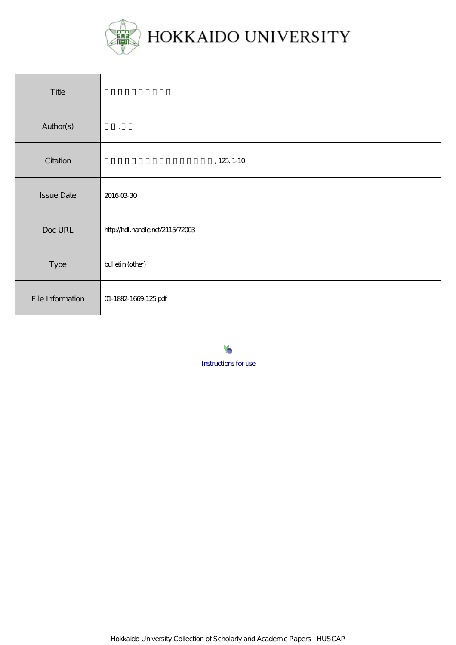

| Title             |                                  |
|-------------------|----------------------------------|
| Author(s)         | $^\bullet$                       |
| Citation          | $, 125, 1 - 10$                  |
| <b>Issue Date</b> | 20160330                         |
| Doc URL           | http://hdl.handle.net/2115/72003 |
| Type              | bulletin (other)                 |
| File Information  | 01-1882-1669-125pdf              |

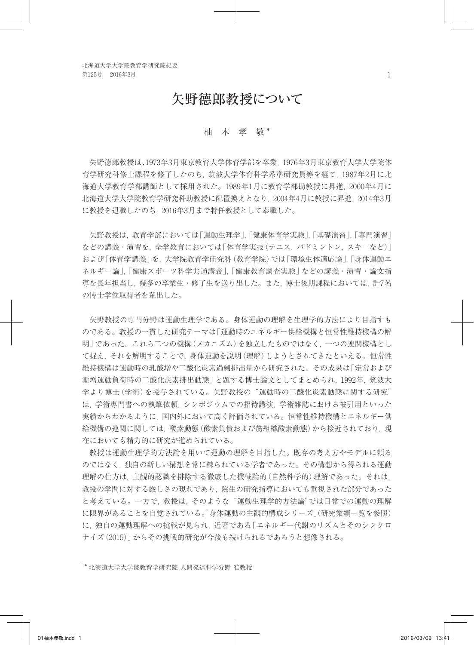# 矢野德郎教授について

## 柚 木 孝 敬 \*

 矢野德郎教授は、1973年3月東京教育大学体育学部を卒業,1976年3月東京教育大学大学院体 育学研究科修士課程を修了したのち,筑波大学体育科学系準研究員等を経て,1987年2月に北 海道大学教育学部講師として採用された。1989年1月に教育学部助教授に昇進,2000年4月に 北海道大学大学院教育学研究科助教授に配置換えとなり,2004年4月に教授に昇進,2014年3月 に教授を退職したのち,2016年3月まで特任教授として奉職した。

 矢野教授は,教育学部においては「運動生理学」,「健康体育学実験」,「基礎演習」,「専門演習」 などの講義・演習を,全学教育においては「体育学実技(テニス,バドミントン,スキーなど)」 および「体育学講義」を,大学院教育学研究科(教育学院)では「環境生体適応論」,「身体運動エ ネルギー論」,「健康スポーツ科学共通講義」,「健康教育調査実験」などの講義・演習・論文指 導を長年担当し,幾多の卒業生・修了生を送り出した。また,博士後期課程においては,計7名 の博士学位取得者を輩出した。

 矢野教授の専門分野は運動生理学である。身体運動の理解を生理学的方法により目指すも のである。教授の一貫した研究テーマは「運動時のエネルギー供給機構と恒常性維持機構の解 明」であった。これら二つの機構(メカニズム)を独立したものではなく,一つの連関機構とし て捉え,それを解明することで,身体運動を説明(理解)しようとされてきたといえる。恒常性 維持機構は運動時の乳酸増や二酸化炭素過剰排出量から研究された。その成果は「定常および 漸増運動負荷時の二酸化炭素排出動態」と題する博士論文としてまとめられ,1992年,筑波大 学より博士(学術)を授与されている。矢野教授の"運動時の二酸化炭素動態に関する研究" は,学術専門書への執筆依頼,シンポジウムでの招待講演,学術雑誌における被引用といった 実績からわかるように,国内外において高く評価されている。恒常性維持機構とエネルギー供 給機構の連関に関しては、酸素動態(酸素負債および筋組織酸素動態)から接近されており,現 在においても精力的に研究が進められている。

 教授は運動生理学的方法論を用いて運動の理解を目指した。既存の考え方やモデルに頼る のではなく,独自の新しい構想を常に練られている学者であった。その構想から得られる運動 理解の仕方は,主観的認識を排除する徹底した機械論的(自然科学的)理解であった。それは, 教授の学問に対する厳しさの現れであり,院生の研究指導においても重視された部分であった と考えている。一方で,教授は,そのような"運動生理学的方法論"では日常での運動の理解 に限界があることを自覚されている。「身体運動の主観的構成シリーズ」(研究業績一覧を参照) に、独自の運動理解への挑戦が見られ、近著である「エネルギー代謝のリズムとそのシンクロ ナイズ(2015)」からその挑戦的研究が今後も続けられるであろうと想像される。

<sup>\*</sup> 北海道大学大学院教育学研究院 人間発達科学分野 准教授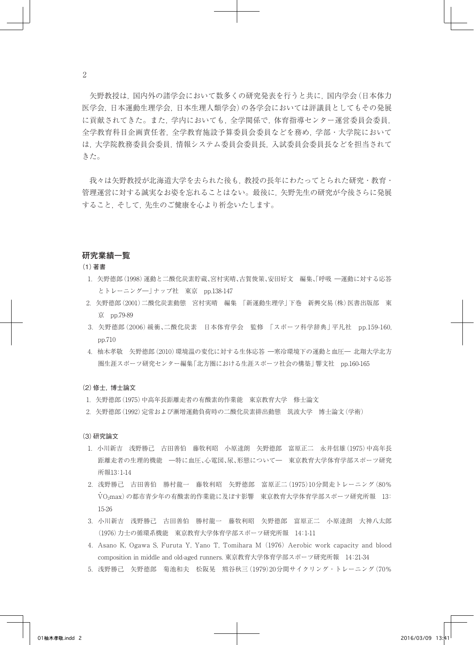矢野教授は,国内外の諸学会において数多くの研究発表を行うと共に,国内学会(日本体力 医学会,日本運動生理学会,日本生理人類学会)の各学会においては評議員としてもその発展 に貢献されてきた。また,学内においても,全学関係で,体育指導センター運営委員会委員, 全学教育科目企画責任者,全学教育施設予算委員会委員などを務め,学部・大学院において は,大学院教務委員会委員,情報システム委員会委員長,入試委員会委員長などを担当されて きた。

 我々は矢野教授が北海道大学を去られた後も,教授の長年にわたってとられた研究・教育・ 管理運営に対する誠実なお姿を忘れることはない。最後に,矢野先生の研究が今後さらに発展 すること,そして,先生のご健康を心より祈念いたします。

#### **研究業績一覧**

(1)著書

- 1.矢野德郎(1998)運動と二酸化炭素貯蔵、宮村実晴、古賀俊策、安田好文 編集、「呼吸 ―運動に対する応答 とトレーニング―」ナップ社 東京 pp.138-147
- 2.矢野德郎(2001)二酸化炭素動態 宮村実晴 編集 「新運動生理学」下巻 新興交易(株)医書出版部 東 京 pp.79-89
- 3.矢野德郎(2006)緩衝、二酸化炭素 日本体育学会 監修 「スポーツ科学辞典」平凡社 pp.159-160, pp.710
- 4.柚木孝敬 矢野德郎(2010)環境温の変化に対する生体応答 ―寒冷環境下の運動と血圧― 北翔大学北方 圏生涯スポーツ研究センター編集「北方圏における生涯スポーツ社会の構築」響文社 pp.160-165

#### (2)修士,博士論文

- 1.矢野德郎(1975)中高年長距離走者の有酸素的作業能 東京教育大学 修士論文
- 2.矢野德郎(1992)定常および漸増運動負荷時の二酸化炭素排出動態 筑波大学 博士論文(学術)

#### (3)研究論文

- 1.小川新吉 浅野勝己 古田善伯 藤牧利昭 小原達朗 矢野德郎 富原正二 永井信雄(1975)中高年長 距離走者の生理的機能 ―特に血圧、心電図、尿、形態について― 東京教育大学体育学部スポーツ研究 所報13:1-14
- 2.浅野勝己 古田善伯 勝村龍一 藤牧利昭 矢野德郎 富原正二(1975)10分間走トレーニング(80% V ・ O2max)の都市青少年の有酸素的作業能に及ぼす影響 東京教育大学体育学部スポーツ研究所報 13: 15-26
- 3.小川新吉 浅野勝己 古田善伯 勝村龍一 藤牧利昭 矢野德郎 富原正二 小原達朗 大神八太郎 (1976)力士の循環系機能 東京教育大学体育学部スポーツ研究所報 14:1-11
- 4. Asano K, Ogawa S, Furuta Y, Yano T, Tomihara M (1976) Aerobic work capacity and blood composition in middle and old-aged runners. 東京教育大学体育学部スポーツ研究所報 14:21-34
- 5.浅野勝己 矢野德郎 菊池和夫 松阪晃 熊谷秋三(1979)20分間サイクリング・トレーニング(70%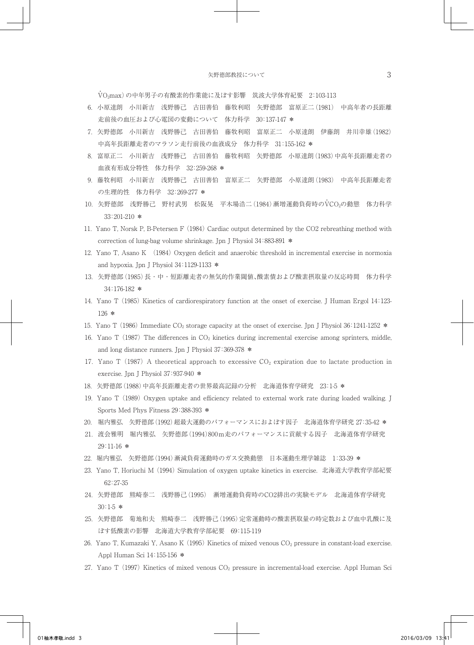V ・ O2max)の中年男子の有酸素的作業能に及ぼす影響 筑波大学体育紀要 2:103-113

- 6.小原達朗 小川新吉 浅野勝己 古田善伯 藤牧利昭 矢野德郎 富原正二(1981) 中高年者の長距離 走前後の血圧および心電図の変動について 体力科学 30:137-147 \*
- 7.矢野德郎 小川新吉 浅野勝己 古田善伯 藤牧利昭 富原正二 小原達朗 伊藤朗 井川幸雄(1982) 中高年長距離走者のマラソン走行前後の血液成分 体力科学 31:155-162 \*
- 8.富原正二 小川新吉 浅野勝己 古田善伯 藤牧利昭 矢野德郎 小原達朗(1983)中高年長距離走者の 血液有形成分特性 体力科学 32:259-268 \*
- 9.藤牧利昭 小川新吉 浅野勝己 古田善伯 富原正二 矢野德郎 小原達朗(1983) 中高年長距離走者 の生理的性 体力科学 32:269-277 \*
- 10. 矢野德郎 浅野勝己 野村武男 松阪晃 平木場浩二 (1984) 漸増運動負荷時のVCO2の動態 体力科学 33:201-210 \*
- 11. Yano T, Norsk P, B-Petersen F (1984) Cardiac output determined by the CO2 rebreathing method with correction of lung-bag volume shrinkage. Jpn J Physiol 34:883-891 \*
- 12. Yano T, Asano K (1984) Oxygen deficit and anaerobic threshold in incremental exercise in normoxia and hypoxia. Jpn J Physiol 34:1129-1133 \*
- 13.矢野德郎(1985)長・中・短距離走者の無気的作業閾値、酸素債および酸素摂取量の反応時間 体力科学 34:176-182 \*
- 14. Yano T (1985) Kinetics of cardiorespiratory function at the onset of exercise. J Human Ergol 14:123- 126 \*
- 15. Yano T (1986) Immediate CO<sub>2</sub> storage capacity at the onset of exercise. Jpn J Physiol 36:1241-1252 \*
- 16. Yano T (1987) The differences in CO2 kinetics during incremental exercise among sprinters, middle, and long distance runners. Jpn J Physiol 37:369-378 \*
- 17. Yano T (1987) A theoretical approach to excessive  $CO<sub>2</sub>$  expiration due to lactate production in exercise. Jpn J Physiol 37:937-940 \*
- 18.矢野德郎(1988)中高年長距離走者の世界最高記録の分析 北海道体育学研究 23:1-5 \*
- 19. Yano T (1989) Oxygen uptake and efficiency related to external work rate during loaded walking. J Sports Med Phys Fitness 29:388-393 \*
- 20. 堀内雅弘 矢野德郎(1992)超最大運動のパフォーマンスにおよぼす因子 北海道体育学研究 27:35-42 \*
- 21.渡会雅明 堀内雅弘 矢野德郎(1994)800m走のパフォーマンスに貢献する因子 北海道体育学研究 29:11-16 \*
- 22.堀内雅弘 矢野德郎(1994)漸減負荷運動時のガス交換動態 日本運動生理学雑誌 1:33-39 \*
- 23. Yano T, Horiuchi M (1994) Simulation of oxygen uptake kinetics in exercise. 北海道大学教育学部紀要 62:27-35
- 24.矢野德郎 熊崎泰二 浅野勝己(1995) 漸増運動負荷時のCO2排出の実験モデル 北海道体育学研究 30:1-5 \*
- 25.矢野德郎 菊地和夫 熊崎泰二 浅野勝己(1995)定常運動時の酸素摂取量の時定数および血中乳酸に及 ぼす低酸素の影響 北海道大学教育学部紀要 69:115-119
- 26. Yano T, Kumazaki Y, Asano K (1995) Kinetics of mixed venous CO<sub>2</sub> pressure in constant-load exercise. Appl Human Sci 14:155-156 \*
- 27. Yano T (1997) Kinetics of mixed venous CO2 pressure in incremental-load exercise. Appl Human Sci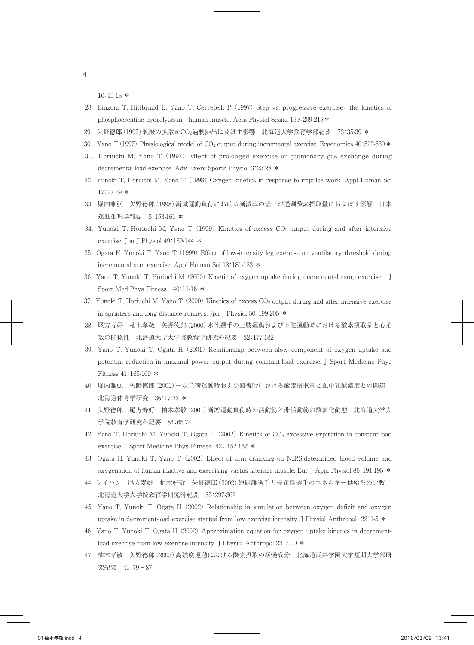16:15-18 \*

- 28. Binzoni T, Hiltbrand E, Yano T, Cerretelli P (1997) Step vs. progressive exercise: the kinetics of phosphocreatine hydrolysis in human muscle. Acta Physiol Scand 159:209-215\*
- 29.矢野德郎(1997)乳酸の拡散がCO2過剰排出に及ぼす影響 北海道大学教育学部紀要 73:35-39 \*
- 30. Yano T (1997) Physiological model of  $CO<sub>2</sub>$  output during incremental exercise. Ergonomics  $40:522-530$  \*
- 31. Horiuchi M, Yano T (1997) Effect of prolonged exercise on pulmonary gas exchange during decremental-load exercise. Adv Exerc Sports Physiol 3:23-28 \*
- 32. Yunoki T, Horiuchi M, Yano T (1998) Oxygen kinetics in response to impulse work. Appl Human Sci  $17:27-29$  \*
- 33.堀内雅弘 矢野德郎(1998)漸減運動負荷における漸減率の低下が過剰酸素摂取量におよぼす影響 日本 運動生理学雑誌 5:153-161 \*
- 34. Yunoki T, Horiuchi M, Yano T (1999) Kinetics of excess  $CO<sub>2</sub>$  output during and after intensive exercise. Jpn J Physiol 49:139-144 \*
- 35. Ogata H, Yunoki T, Yano T (1999) Effect of low-intensity leg exercise on ventilatory threshold during incremental arm exercise. Appl Human Sci 18:181-183 \*
- 36. Yano T, Yunoki T, Horiuchi M (2000) Kinetic of oxygen uptake during decremental ramp exercise. J Sport Med Phys Fitness 40:11-16 \*
- 37. Yunoki T, Horiuchi M, Yano T  $(2000)$  Kinetics of excess  $CO<sub>2</sub>$  output during and after intensive exercise in sprinters and long distance runners. Jpn J Physiol 50:199-205 \*
- 38.尾方寿好 柚木孝敬 矢野德郎(2000)水性選手の上肢運動および下肢運動時における酸素摂取量と心拍 数の関係性 北海道大学大学院教育学研究科紀要 82:177-182
- 39. Yano T, Yunoki T, Ogata H (2001) Relationship between slow component of oxygen uptake and potential reduction in maximal power output during constant-load exercise. J Sport Medicine Phys Fitness 41:165-169 \*
- 40.堀内雅弘 矢野德郎(2001)一定負荷運動時および回復時における酸素摂取量と血中乳酸濃度との関連 北海道体育学研究 36:17-23 \*
- 41.矢野德郎 尾方寿好 柚木孝敬(2001)漸増運動負荷時の活動筋と非活動筋の酸素化動態 北海道大学大 学院教育学研究科紀要 84:65-74
- 42. Yano T, Horiuchi M, Yunoki T, Ogata H (2002) Kinetics of CO2 excessive expiration in constant-load exercise. J Sport Medicine Phys Fitness 42: 152-157 \*
- 43. Ogata H, Yunoki T, Yano T (2002) Effect of arm cranking on NIRS-determined blood volume and oxygenation of human inactive and exercising vastus lateralis muscle. Eur J Appl Physiol 86:191-195 \*
- 44.レイハン 尾方寿好 柚木好敬 矢野德郎(2002)短距離選手と長距離選手のエネルギー供給系の比較 北海道大学大学院教育学研究科紀要 85:297-302
- 45. Yano T, Yunoki T, Ogata H (2002) Relationship in simulation between oxygen deficit and oxygen uptake in decrement-load exercise started from low exercise intensity. J Physiol Anthropol 22:1-5 \*
- 46. Yano T, Yunoki T, Ogata H (2002) Approximation equation for oxygen uptake kinetics in decrementload exercise from low exercise intensity. J Physiol Anthropol 22:7-10  $*$
- 47.柚木孝敬 矢野德郎(2003)高強度運動における酸素摂取の緩慢成分 北海道浅井学園大学短期大学部研 究紀要 41:79−87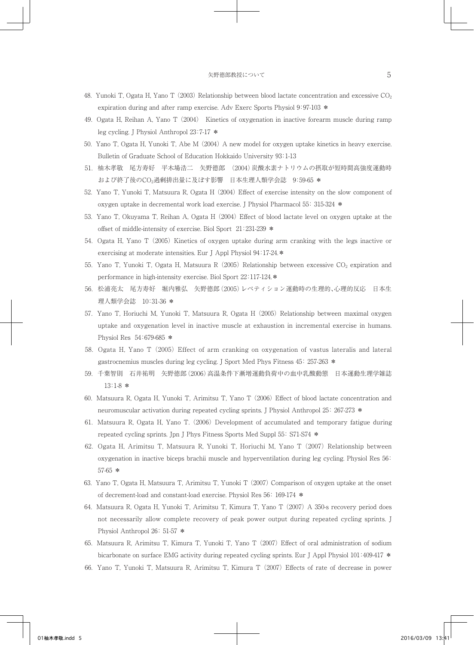- 48. Yunoki T, Ogata H, Yano T (2003) Relationship between blood lactate concentration and excessive  $CO<sub>2</sub>$ expiration during and after ramp exercise. Adv Exerc Sports Physiol 9:97-103 \*
- 49. Ogata H, Reihan A, Yano T (2004) Kinetics of oxygenation in inactive forearm muscle during ramp leg cycling. J Physiol Anthropol 23:7-17 \*
- 50. Yano T, Ogata H, Yunoki T, Abe M (2004) A new model for oxygen uptake kinetics in heavy exercise. Bulletin of Graduate School of Education Hokkaido University 93:1-13
- 51.柚木孝敬 尾方寿好 平木場浩二 矢野德郎 (2004)炭酸水素ナトリウムの摂取が短時間高強度運動時 および終了後のCO2過剰排出量に及ぼす影響 日本生理人類学会誌 9:59-65 \*
- 52. Yano T, Yunoki T, Matsuura R, Ogata H (2004) Effect of exercise intensity on the slow component of oxygen uptake in decremental work load exercise. J Physiol Pharmacol 55: 315-324 \*
- 53. Yano T, Okuyama T, Reihan A, Ogata H (2004) Effect of blood lactate level on oxygen uptake at the offset of middle-intensity of exercise. Biol Sport 21:231-239 \*
- 54. Ogata H, Yano T (2005) Kinetics of oxygen uptake during arm cranking with the legs inactive or exercising at moderate intensities. Eur J Appl Physiol 94:17-24.\*
- 55. Yano T, Yunoki T, Ogata H, Matsuura R (2005) Relationship between excessive CO<sub>2</sub> expiration and performance in high-intensity exercise. Biol Sport 22:117-124.\*
- 56.松浦亮太 尾方寿好 堀内雅弘 矢野德郎(2005)レペティション運動時の生理的、心理的反応 日本生 理人類学会誌 10:31-36 \*
- 57. Yano T, Horiuchi M, Yunoki T, Matsuura R, Ogata H (2005) Relationship between maximal oxygen uptake and oxygenation level in inactive muscle at exhaustion in incremental exercise in humans. Physiol Res 54:679-685 \*
- 58. Ogata H, Yano T (2005) Effect of arm cranking on oxygenation of vastus lateralis and lateral gastrocnemius muscles during leg cycling. J Sport Med Phys Fitness 45: 257-263 \*
- 59.千葉智則 石井祐明 矢野德郎(2006)高温条件下漸増運動負荷中の血中乳酸動態 日本運動生理学雑誌 13:1-8 \*
- 60. Matsuura R, Ogata H, Yunoki T, Arimitsu T, Yano T (2006) Effect of blood lactate concentration and neuromuscular activation during repeated cycling sprints. J Physiol Anthropol 25: 267-273 \*
- 61. Matsuura R, Ogata H, Yano T. (2006) Development of accumulated and temporary fatigue during repeated cycling sprints. Jpn J Phys Fitness Sports Med Suppl 55: S71-S74 \*
- 62. Ogata H, Arimitsu T, Matsuura R, Yunoki T, Horiuchi M, Yano T (2007) Relationship between oxygenation in inactive biceps brachii muscle and hyperventilation during leg cycling. Physiol Res 56: 57-65 \*
- 63. Yano T, Ogata H, Matsuura T, Arimitsu T, Yunoki T (2007) Comparison of oxygen uptake at the onset of decrement-load and constant-load exercise. Physiol Res 56: 169-174 \*
- 64. Matsuura R, Ogata H, Yunoki T, Arimitsu T, Kimura T, Yano T (2007) A 350-s recovery period does not necessarily allow complete recovery of peak power output during repeated cycling sprints. J Physiol Anthropol 26: 51-57 \*
- 65. Matsuura R, Arimitsu T, Kimura T, Yunoki T, Yano T (2007) Effect of oral administration of sodium bicarbonate on surface EMG activity during repeated cycling sprints. Eur J Appl Physiol 101:409-417 \*
- 66. Yano T, Yunoki T, Matsuura R, Arimitsu T, Kimura T (2007) Effects of rate of decrease in power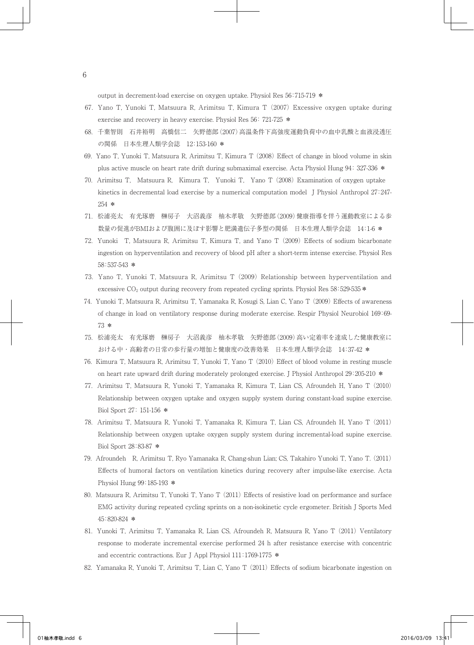output in decrement-load exercise on oxygen uptake. Physiol Res 56:715-719 \*

- 67. Yano T, Yunoki T, Matsuura R, Arimitsu T, Kimura T (2007) Excessive oxygen uptake during exercise and recovery in heavy exercise. Physiol Res 56: 721-725 \*
- 68.千葉智則 石井裕明 高橋信二 矢野德郎(2007)高温条件下高強度運動負荷中の血中乳酸と血液浸透圧 の関係 日本生理人類学会誌 12:153-160 \*
- 69. Yano T, Yunoki T, Matsuura R, Arimitsu T, Kimura T (2008) Effect of change in blood volume in skin plus active muscle on heart rate drift during submaximal exercise. Acta Physiol Hung 94: 327-336 \*
- 70. Arimitsu T, Matsuura R, Kimura T, Yunoki T, Yano T (2008) Examination of oxygen uptake kinetics in decremental load exercise by a numerical computation model J Physiol Anthropol 27:247- 254 \*
- 71.松浦亮太 有光琢磨 榊房子 大沼義彦 柚木孝敬 矢野德郎(2009)健康指導を伴う運動教室による歩 数量の促進がBMIおよび腹囲に及ぼす影響と肥満遺伝子多型の関係 日本生理人類学会誌 14:1-6 \*
- 72. Yunoki T, Matsuura R, Arimitsu T, Kimura T, and Yano T (2009) Effects of sodium bicarbonate ingestion on hyperventilation and recovery of blood pH after a short-term intense exercise. Physiol Res 58:537-543 \*
- 73. Yano T, Yunoki T, Matsuura R, Arimitsu T (2009) Relationship between hyperventilation and excessive  $CO<sub>2</sub>$  output during recovery from repeated cycling sprints. Physiol Res 58:529-535  $*$
- 74. Yunoki T, Matsuura R, Arimitsu T, Yamanaka R, Kosugi S, Lian C, Yano T (2009) Effects of awareness of change in load on ventilatory response during moderate exercise. Respir Physiol Neurobiol 169:69- 73 \*
- 75.松浦亮太 有光琢磨 榊房子 大沼義彦 柚木孝敬 矢野德郎(2009)高い定着率を達成した健康教室に おける中・高齢者の日常の歩行量の増加と健康度の改善効果 日本生理人類学会誌 14:37-42 \*
- 76. Kimura T, Matsuura R, Arimitsu T, Yunoki T, Yano T (2010) Effect of blood volume in resting muscle on heart rate upward drift during moderately prolonged exercise. J Physiol Anthropol 29:205-210 \*
- 77. Arimitsu T, Matsuura R, Yunoki T, Yamanaka R, Kimura T, Lian CS, Afroundeh H, Yano T (2010) Relationship between oxygen uptake and oxygen supply system during constant-load supine exercise. Biol Sport 27: 151-156 \*
- 78. Arimitsu T, Matsuura R, Yunoki T, Yamanaka R, Kimura T, Lian CS, Afroundeh H, Yano T (2011) Relationship between oxygen uptake oxygen supply system during incremental-load supine exercise. Biol Sport 28:83-87 \*
- 79. Afroundeh R, Arimitsu T, Ryo Yamanaka R, Chang-shun Lian; CS, Takahiro Yunoki T, Yano T. (2011) Effects of humoral factors on ventilation kinetics during recovery after impulse-like exercise. Acta Physiol Hung 99:185-193 \*
- 80. Matsuura R, Arimitsu T, Yunoki T, Yano T (2011) Effects of resistive load on performance and surface EMG activity during repeated cycling sprints on a non-isokinetic cycle ergometer. British J Sports Med 45:820-824 \*
- 81. Yunoki T, Arimitsu T, Yamanaka R, Lian CS, Afroundeh R, Matsuura R, Yano T (2011) Ventilatory response to moderate incremental exercise performed 24 h after resistance exercise with concentric and eccentric contractions. Eur J Appl Physiol 111:1769-1775 \*
- 82. Yamanaka R, Yunoki T, Arimitsu T, Lian C, Yano T (2011) Effects of sodium bicarbonate ingestion on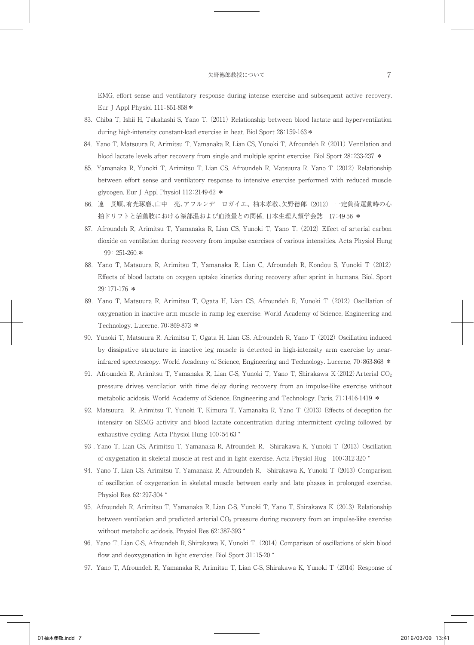EMG, effort sense and ventilatory response during intense exercise and subsequent active recovery. Eur J Appl Physiol 111:851-858 \*

- 83. Chiba T, Ishii H, Takahashi S, Yano T. (2011) Relationship between blood lactate and hyperventilation during high-intensity constant-load exercise in heat. Biol Sport  $28:159-163*$
- 84. Yano T, Matsuura R, Arimitsu T, Yamanaka R, Lian CS, Yunoki T, Afroundeh R (2011) Ventilation and blood lactate levels after recovery from single and multiple sprint exercise. Biol Sport 28:233-237 \*
- 85. Yamanaka R, Yunoki T, Arimitsu T, Lian CS, Afroundeh R, Matsuura R, Yano T (2012) Relationship between effort sense and ventilatory response to intensive exercise performed with reduced muscle glycogen. Eur J Appl Physiol 112:2149-62 \*
- 86.連 長順、有光琢磨、山中 亮、アフルンデ ロガイエ、柚木孝敬、矢野德郎 (2012) 一定負荷運動時の心 拍ドリフトと活動肢における深部温および血液量との関係. 日本生理人類学会誌 17:49-56 \*
- 87. Afroundeh R, Arimitsu T, Yamanaka R, Lian CS, Yunoki T, Yano T. (2012) Effect of arterial carbon dioxide on ventilation during recovery from impulse exercises of various intensities. Acta Physiol Hung 99: 251-260.\*
- 88. Yano T, Matsuura R, Arimitsu T, Yamanaka R, Lian C, Afroundeh R, Kondou S, Yunoki T (2012) Effects of blood lactate on oxygen uptake kinetics during recovery after sprint in humans. Biol. Sport 29:171-176 \*
- 89. Yano T, Matsuura R, Arimitsu T, Ogata H, Lian CS, Afroundeh R, Yunoki T (2012) Oscillation of oxygenation in inactive arm muscle in ramp leg exercise. World Academy of Science, Engineering and Technology. Lucerne, 70:869-873 \*
- 90. Yunoki T, Matsuura R, Arimitsu T, Ogata H, Lian CS, Afroundeh R, Yano T (2012) Oscillation induced by dissipative structure in inactive leg muscle is detected in high-intensity arm exercise by nearinfrared spectroscopy. World Academy of Science, Engineering and Technology. Lucerne, 70:863-868 \*
- 91. Afroundeh R, Arimitsu T, Yamanaka R, Lian C-S, Yunoki T, Yano T, Shirakawa K  $(2012)$  Arterial CO<sub>2</sub> pressure drives ventilation with time delay during recovery from an impulse-like exercise without metabolic acidosis. World Academy of Science, Engineering and Technology. Paris, 71:1416-1419 \*
- 92. Matsuura R, Arimitsu T, Yunoki T, Kimura T, Yamanaka R, Yano T (2013) Effects of deception for intensity on SEMG activity and blood lactate concentration during intermittent cycling followed by exhaustive cycling. Acta Physiol Hung 100:54-63 \*
- 93 .Yano T, Lian CS, Arimitsu T, Yamanaka R, Afroundeh R, Shirakawa K, Yunoki T (2013) Oscillation of oxygenation in skeletal muscle at rest and in light exercise. Acta Physiol Hug 100:312-320 \*
- 94. Yano T, Lian CS, Arimitsu T, Yamanaka R, Afroundeh R, Shirakawa K, Yunoki T (2013) Comparison of oscillation of oxygenation in skeletal muscle between early and late phases in prolonged exercise. Physiol Res 62:297-304 \*
- 95. Afroundeh R, Arimitsu T, Yamanaka R, Lian C-S, Yunoki T, Yano T, Shirakawa K (2013) Relationship between ventilation and predicted arterial  $CO<sub>2</sub>$  pressure during recovery from an impulse-like exercise without metabolic acidosis. Physiol Res 62:387-393 \*
- 96. Yano T, Lian C-S, Afroundeh R, Shirakawa K, Yunoki T. (2014) Comparison of oscillations of skin blood flow and deoxygenation in light exercise. Biol Sport 31:15-20 \*
- 97. Yano T, Afroundeh R, Yamanaka R, Arimitsu T, Lian C-S, Shirakawa K, Yunoki T (2014) Response of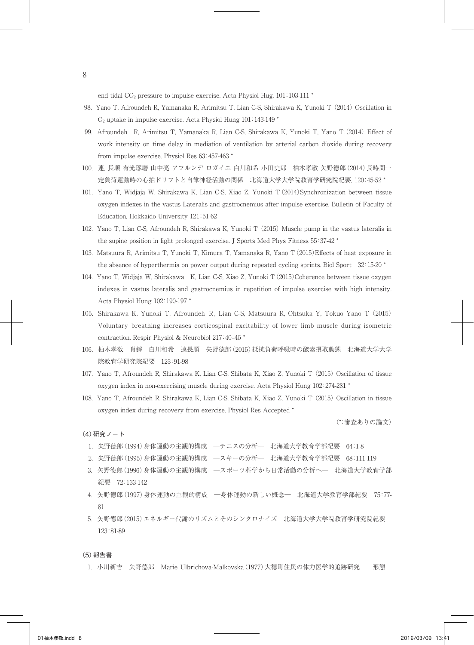end tidal CO<sub>2</sub> pressure to impulse exercise. Acta Physiol Hug. 101:103-111 \*

- 98. Yano T, Afroundeh R, Yamanaka R, Arimitsu T, Lian C-S, Shirakawa K, Yunoki T (2014) Oscillation in O2 uptake in impulse exercise. Acta Physiol Hung 101:143-149 \*
- 99. Afroundeh R, Arimitsu T, Yamanaka R, Lian C-S, Shirakawa K, Yunoki T, Yano T.(2014) Effect of work intensity on time delay in mediation of ventilation by arterial carbon dioxide during recovery from impulse exercise. Physiol Res 63:457-463 \*
- 100.連, 長順 有光琢磨 山中亮 アフルンデ ロガイエ 白川和希 小田史郎 柚木孝敬 矢野德郎(2014)長時間一 定負荷運動時の心拍ドリフトと自律神経活動の関係 北海道大学大学院教育学研究院紀要, 120:45-52 \*
- 101. Yano T, Widjaja W, Shirakawa K, Lian C-S, Xiao Z, Yunoki T(2014)Synchronization between tissue oxygen indexes in the vastus Lateralis and gastrocnemius after impulse exercise. Bulletin of Faculty of Education, Hokkaido University 121:51-62
- 102. Yano T, Lian C-S, Afroundeh R, Shirakawa K, Yunoki T (2015) Muscle pump in the vastus lateralis in the supine position in light prolonged exercise. J Sports Med Phys Fitness 55:37-42 \*
- 103. Matsuura R, Arimitsu T, Yunoki T, Kimura T, Yamanaka R, Yano T(2015)Effects of heat exposure in the absence of hyperthermia on power output during repeated cycling sprints. Biol Sport 32:15-20 \*
- 104. Yano T, Widjaja W, Shirakawa K, Lian C-S, Xiao Z, Yunoki T(2015)Coherence between tissue oxygen indexes in vastus lateralis and gastrocnemius in repetition of impulse exercise with high intensity. Acta Physiol Hung 102:190-197 \*
- 105. Shirakawa K, Yunoki T, Afroundeh R, Lian C-S, Matsuura R, Ohtsuka Y, Tokuo Yano T (2015) Voluntary breathing increases corticospinal excitability of lower limb muscle during isometric contraction. Respir Physiol & Neurobiol 217:40–45 \*
- 106.柚木孝敬 肖錚 白川和希 連長順 矢野德郎(2015)抵抗負荷呼吸時の酸素摂取動態 北海道大学大学 院教育学研究院紀要 123:91-98
- 107. Yano T, Afroundeh R, Shirakawa K, Lian C-S, Shibata K, Xiao Z, Yunoki T (2015) Oscillation of tissue oxygen index in non-exercising muscle during exercise. Acta Physiol Hung 102:274-281 \*
- 108. Yano T, Afroundeh R, Shirakawa K, Lian C-S, Shibata K, Xiao Z, Yunoki T (2015) Oscillation in tissue oxygen index during recovery from exercise. Physiol Res Accepted \*

(\*:審査ありの論文)

## (4)研究ノート

- 1.矢野德郎(1994)身体運動の主観的構成 ―テニスの分析― 北海道大学教育学部紀要 64:1-8
- 2.矢野德郎(1995)身体運動の主観的構成 ―スキーの分析― 北海道大学教育学部紀要 68:111-119
- 3.矢野德郎(1996)身体運動の主観的構成 ―スポーツ科学から日常活動の分析へ― 北海道大学教育学部 紀要 72:133-142
- 4.矢野德郎(1997)身体運動の主観的構成 ―身体運動の新しい概念― 北海道大学教育学部紀要 75:77- 81
- 5.矢野德郎(2015)エネルギー代謝のリズムとそのシンクロナイズ 北海道大学大学院教育学研究院紀要 123:81-89

(5)報告書

1.小川新吉 矢野德郎 Marie Ulbrichova-Malkovska(1977)大穂町住民の体力医学的追跡研究 ―形態―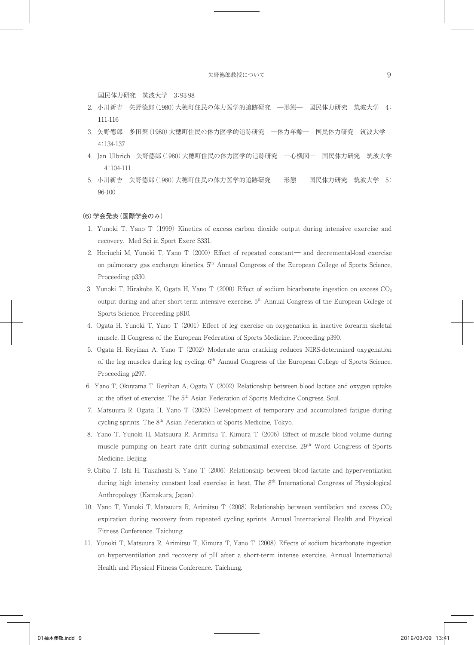国民体力研究 筑波大学 3:93-98

- 2.小川新吉 矢野德郎(1980)大穂町住民の体力医学的追跡研究 ―形態― 国民体力研究 筑波大学 4: 111-116
- 3.矢野德郎 多田繁(1980)大穂町住民の体力医学的追跡研究 ―体力年齢― 国民体力研究 筑波大学 4:134-137
- 4. Jan Ulbrich 矢野德郎(1980)大穂町住民の体力医学的追跡研究 ―心機図― 国民体力研究 筑波大学 4:104-111
- 5.小川新吉 矢野德郎(1980)大穂町住民の体力医学的追跡研究 ―形態― 国民体力研究 筑波大学 5: 96-100

#### (6)学会発表(国際学会のみ)

- 1. Yunoki T, Yano T (1999) Kinetics of excess carbon dioxide output during intensive exercise and recovery. Med Sci in Sport Exerc S331.
- 2. Horiuchi M, Yunoki T, Yano T (2000) Effect of repeated constant― and decremental-load exercise on pulmonary gas exchange kinetics. 5th Annual Congress of the European College of Sports Science, Proceeding p330.
- 3. Yunoki T, Hirakoba K, Ogata H, Yano T (2000) Effect of sodium bicarbonate ingestion on excess CO2 output during and after short-term intensive exercise. 5th Annual Congress of the European College of Sports Science, Proceeding p810.
- 4. Ogata H, Yunoki T, Yano T (2001) Effect of leg exercise on oxygenation in inactive forearm skeletal muscle. II Congress of the European Federation of Sports Medicine. Proceeding p390.
- 5. Ogata H, Reyihan A, Yano T (2002) Moderate arm cranking reduces NIRS-determined oxygenation of the leg muscles during leg cycling. 6th Annual Congress of the European College of Sports Science, Proceeding p297.
- 6. Yano T, Okuyama T, Reyihan A, Ogata Y (2002) Relationship between blood lactate and oxygen uptake at the offset of exercise. The 5th Asian Federation of Sports Medicine Congress. Soul.
- 7. Matsuura R, Ogata H, Yano T (2005) Development of temporary and accumulated fatigue during cycling sprints. The 8th Asian Federation of Sports Medicine, Tokyo.
- 8. Yano T, Yunoki H, Matsuura R, Arimitsu T, Kimura T (2006) Effect of muscle blood volume during muscle pumping on heart rate drift during submaximal exercise. 29<sup>th</sup> Word Congress of Sports Medicine. Beijing.
- 9.Chiba T, Ishi H, Takahashi S, Yano T (2006) Relationship between blood lactate and hyperventilation during high intensity constant load exercise in heat. The 8<sup>th</sup> International Congress of Physiological Anthropology (Kamakura, Japan).
- 10. Yano T, Yunoki T, Matsuura R, Arimitsu T (2008) Relationship between ventilation and excess  $CO<sub>2</sub>$ expiration during recovery from repeated cycling sprints. Annual International Health and Physical Fitness Conference. Taichung.
- 11. Yunoki T, Matsuura R, Arimitsu T, Kimura T, Yano T (2008) Effects of sodium bicarbonate ingestion on hyperventilation and recovery of pH after a short-term intense exercise. Annual International Health and Physical Fitness Conference. Taichung.